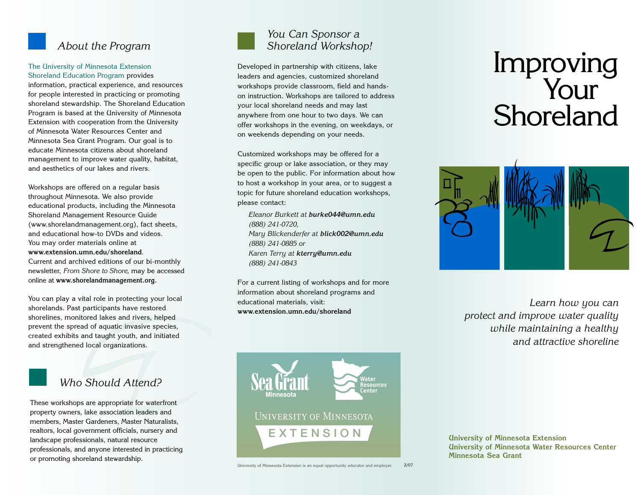

## *About the Program*

## The University of Minnesota Extension Shoreland Education Program provides

information, practical experience, and resources for people interested in practicing or promoting shoreland stewardship. The Shoreland Education Program is based at the University of Minnesota Extension with cooperation from the University of Minnesota Water Resources Center and Minnesota Sea Grant Program. Our goal is to educate Minnesota citizens about shoreland management to improve water quality, habitat, and aesthetics of our lakes and rivers.

Workshops are offered on a regular basis throughout Minnesota. We also provide educational products, including the Minnesota Shoreland Management Resource Guide (www.shorelandmanagement.org), fact sheets, and educational how-to DVDs and videos. You may order materials online at **www.extension.umn.edu/shoreland**. Current and archived editions of our bi-monthly newsletter, *From Shore to Shore,* may be accessed online at **www.shorelandmanagement.org.**

You can play a vital role in protecting your local shorelands. Past participants have restored shorelines, monitored lakes and rivers, helped prevent the spread of aquatic invasive species, created exhibits and taught youth, and initiated and strengthened local organizations.



# *Who Should Attend?*

These workshops are appropriate for waterfront property owners, lake association leaders and members, Master Gardeners, Master Naturalists, realtors, local government officials, nursery and landscape professionals, natural resource professionals, and anyone interested in practicing or promoting shoreland stewardship.



## *You Can Sponsor a Shoreland Workshop!*

Developed in partnership with citizens, lake leaders and agencies, customized shoreland workshops provide classroom, field and handson instruction. Workshops are tailored to address your local shoreland needs and may last anywhere from one hour to two days. We can offer workshops in the evening, on weekdays, or on weekends depending on your needs.

Customized workshops may be offered for a specific group or lake association, or they may be open to the public. For information about how to host a workshop in your area, or to suggest a topic for future shoreland education workshops, please contact:

*Eleanor Burkett at burke044@umn.edu (888) 241-0720, Mary Blickenderfer at blick002@umn.edu (888) 241-0885 or Karen Terry at kterry@umn.edu (888) 241-0843*

For a current listing of workshops and for more information about shoreland programs and educational materials, visit: **www.extension.umn.edu/shoreland**



University of Minnesota Extension is an equal opportunity educator and employer. 2/07

# Improving Your Shoreland



*Learn how you can protect and improve water quality while maintaining a healthy and attractive shoreline*

**University of Minnesota Extension University of Minnesota Water Resources Center Minnesota Sea Grant**